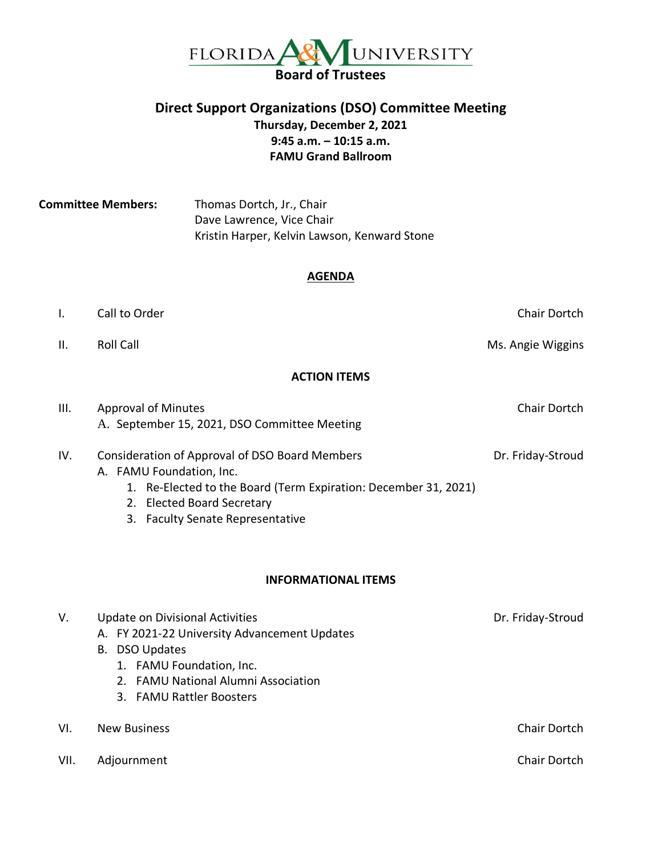

## **Direct Support Organizations (DSO) Committee Meeting Thursday, December 2, 2021 9:45 a.m. – 10:15 a.m. FAMU Grand Ballroom**

**Committee Members:** Thomas Dortch, Jr., Chair Dave Lawrence, Vice Chair Kristin Harper, Kelvin Lawson, Kenward Stone

#### **AGENDA**

|     | Call to Order                                                             | Chair Dortch      |
|-----|---------------------------------------------------------------------------|-------------------|
| II. | <b>Roll Call</b>                                                          | Ms. Angie Wiggins |
|     | <b>ACTION ITEMS</b>                                                       |                   |
| Ш.  | <b>Approval of Minutes</b><br>A Contember 15, 2021, BCO Committee Meeting | Chair Dortch      |

| A. September 15, 2021, DSO Committee Meeting   |                   |
|------------------------------------------------|-------------------|
| Consideration of Approval of DSO Board Members | Dr. Friday-Stroud |

- A. FAMU Foundation, Inc.
	- 1. Re-Elected to the Board (Term Expiration: December 31, 2021)
	- 2. Elected Board Secretary
	- 3. Faculty Senate Representative

#### **INFORMATIONAL ITEMS**

| Chair Dortch |
|--------------|
|              |
| Chair Dortch |
|              |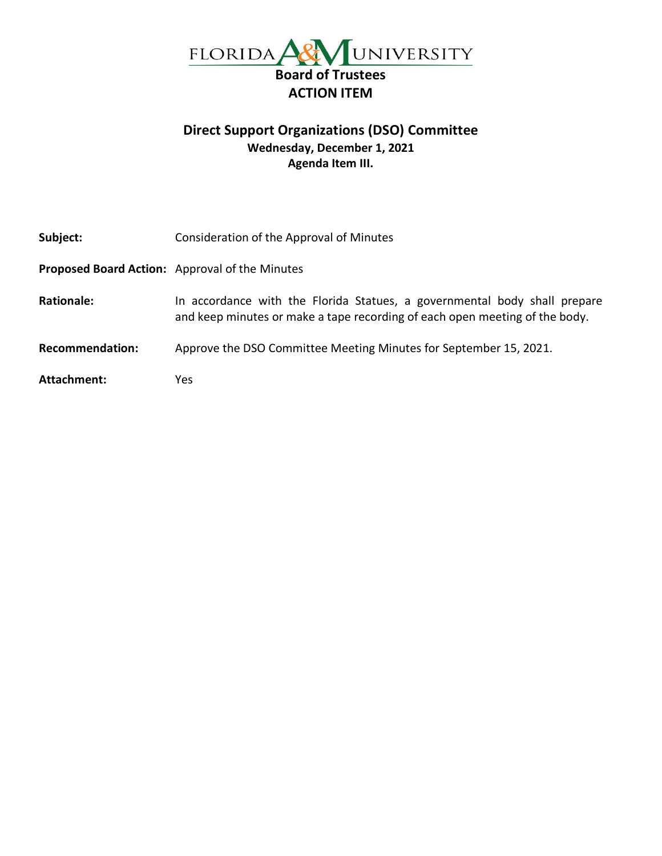

# **Direct Support Organizations (DSO) Committee Wednesday, December 1, 2021 Agenda Item III.**

| Subject:               | Consideration of the Approval of Minutes                                                                                                                 |
|------------------------|----------------------------------------------------------------------------------------------------------------------------------------------------------|
|                        | Proposed Board Action: Approval of the Minutes                                                                                                           |
| <b>Rationale:</b>      | In accordance with the Florida Statues, a governmental body shall prepare<br>and keep minutes or make a tape recording of each open meeting of the body. |
| <b>Recommendation:</b> | Approve the DSO Committee Meeting Minutes for September 15, 2021.                                                                                        |
| Attachment:            | Yes                                                                                                                                                      |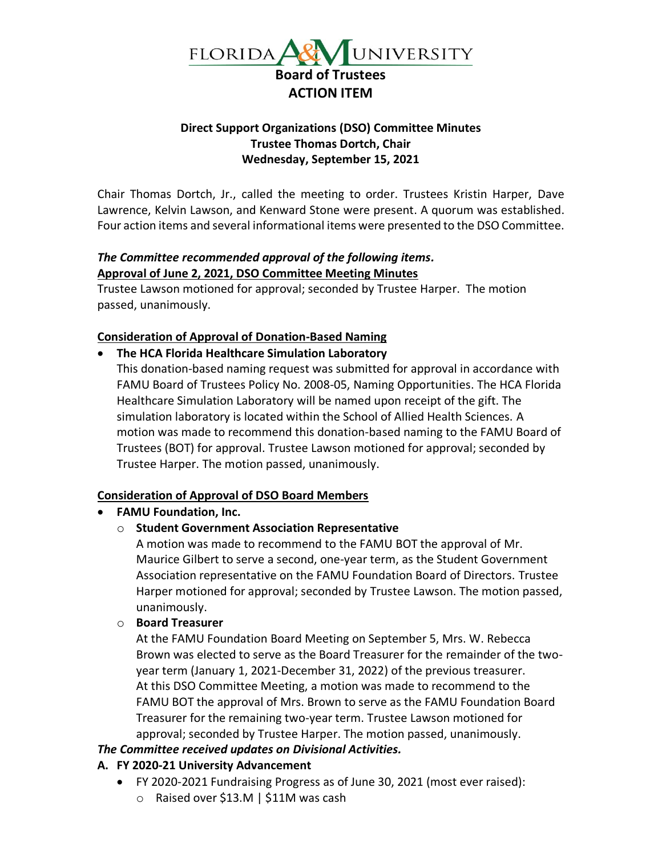

### **Direct Support Organizations (DSO) Committee Minutes Trustee Thomas Dortch, Chair Wednesday, September 15, 2021**

Chair Thomas Dortch, Jr., called the meeting to order. Trustees Kristin Harper, Dave Lawrence, Kelvin Lawson, and Kenward Stone were present. A quorum was established. Four action items and several informational items were presented to the DSO Committee.

## *The Committee recommended approval of the following items.* **Approval of June 2, 2021, DSO Committee Meeting Minutes**

Trustee Lawson motioned for approval; seconded by Trustee Harper. The motion passed, unanimously.

## **Consideration of Approval of Donation-Based Naming**

• **The HCA Florida Healthcare Simulation Laboratory**

This donation-based naming request was submitted for approval in accordance with FAMU Board of Trustees Policy No. 2008-05, Naming Opportunities. The HCA Florida Healthcare Simulation Laboratory will be named upon receipt of the gift. The simulation laboratory is located within the School of Allied Health Sciences. A motion was made to recommend this donation-based naming to the FAMU Board of Trustees (BOT) for approval. Trustee Lawson motioned for approval; seconded by Trustee Harper. The motion passed, unanimously.

## **Consideration of Approval of DSO Board Members**

### • **FAMU Foundation, Inc.**

### o **Student Government Association Representative**

A motion was made to recommend to the FAMU BOT the approval of Mr. Maurice Gilbert to serve a second, one-year term, as the Student Government Association representative on the FAMU Foundation Board of Directors. Trustee Harper motioned for approval; seconded by Trustee Lawson. The motion passed, unanimously.

### o **Board Treasurer**

At the FAMU Foundation Board Meeting on September 5, Mrs. W. Rebecca Brown was elected to serve as the Board Treasurer for the remainder of the twoyear term (January 1, 2021-December 31, 2022) of the previous treasurer. At this DSO Committee Meeting, a motion was made to recommend to the FAMU BOT the approval of Mrs. Brown to serve as the FAMU Foundation Board Treasurer for the remaining two-year term. Trustee Lawson motioned for approval; seconded by Trustee Harper. The motion passed, unanimously.

### *The Committee received updates on Divisional Activities.*

## **A. FY 2020-21 University Advancement**

- FY 2020-2021 Fundraising Progress as of June 30, 2021 (most ever raised):
	- o Raised over \$13.M | \$11M was cash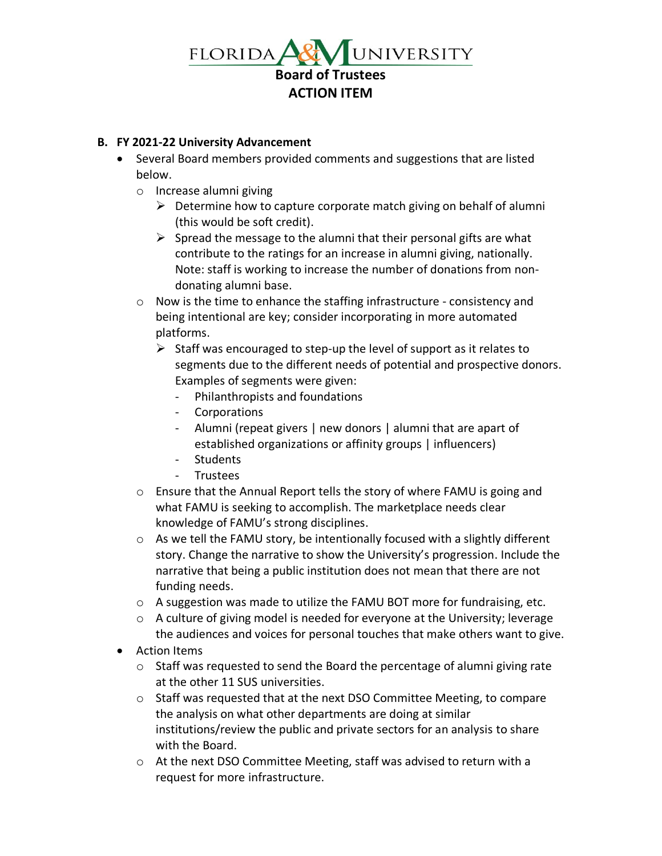

### **B. FY 2021-22 University Advancement**

- Several Board members provided comments and suggestions that are listed below.
	- o Increase alumni giving
		- $\triangleright$  Determine how to capture corporate match giving on behalf of alumni (this would be soft credit).
		- $\triangleright$  Spread the message to the alumni that their personal gifts are what contribute to the ratings for an increase in alumni giving, nationally. Note: staff is working to increase the number of donations from nondonating alumni base.
	- o Now is the time to enhance the staffing infrastructure consistency and being intentional are key; consider incorporating in more automated platforms.
		- $\triangleright$  Staff was encouraged to step-up the level of support as it relates to segments due to the different needs of potential and prospective donors. Examples of segments were given:
			- Philanthropists and foundations
			- Corporations
			- Alumni (repeat givers | new donors | alumni that are apart of established organizations or affinity groups | influencers)
			- Students
			- Trustees
	- $\circ$  Ensure that the Annual Report tells the story of where FAMU is going and what FAMU is seeking to accomplish. The marketplace needs clear knowledge of FAMU's strong disciplines.
	- $\circ$  As we tell the FAMU story, be intentionally focused with a slightly different story. Change the narrative to show the University's progression. Include the narrative that being a public institution does not mean that there are not funding needs.
	- $\circ$  A suggestion was made to utilize the FAMU BOT more for fundraising, etc.
	- $\circ$  A culture of giving model is needed for everyone at the University; leverage the audiences and voices for personal touches that make others want to give.
- Action Items
	- $\circ$  Staff was requested to send the Board the percentage of alumni giving rate at the other 11 SUS universities.
	- $\circ$  Staff was requested that at the next DSO Committee Meeting, to compare the analysis on what other departments are doing at similar institutions/review the public and private sectors for an analysis to share with the Board.
	- o At the next DSO Committee Meeting, staff was advised to return with a request for more infrastructure.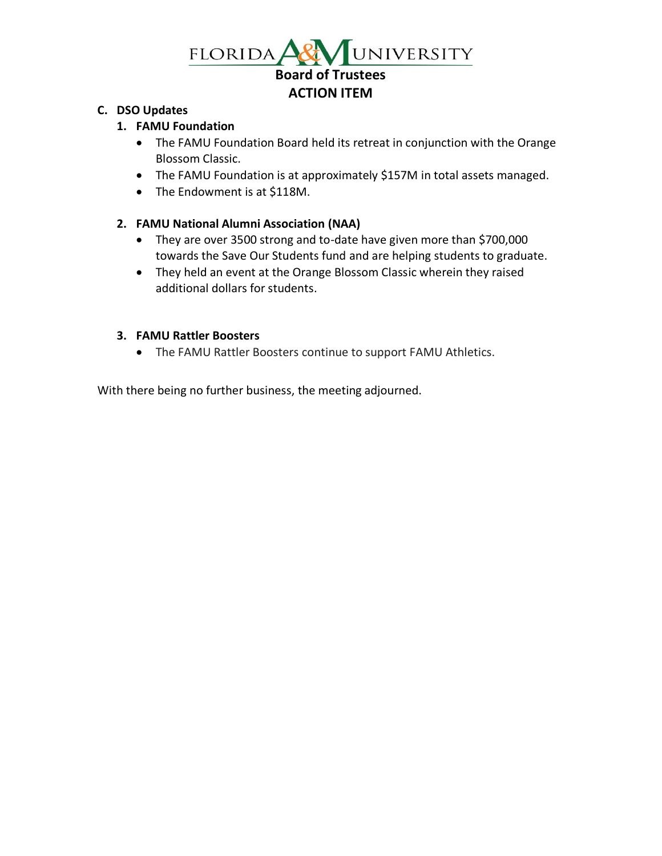

### **C. DSO Updates**

## **1. FAMU Foundation**

- The FAMU Foundation Board held its retreat in conjunction with the Orange Blossom Classic.
- The FAMU Foundation is at approximately \$157M in total assets managed.
- The Endowment is at \$118M.

## **2. FAMU National Alumni Association (NAA)**

- They are over 3500 strong and to-date have given more than \$700,000 towards the Save Our Students fund and are helping students to graduate.
- They held an event at the Orange Blossom Classic wherein they raised additional dollars for students.

### **3. FAMU Rattler Boosters**

• The FAMU Rattler Boosters continue to support FAMU Athletics.

With there being no further business, the meeting adjourned.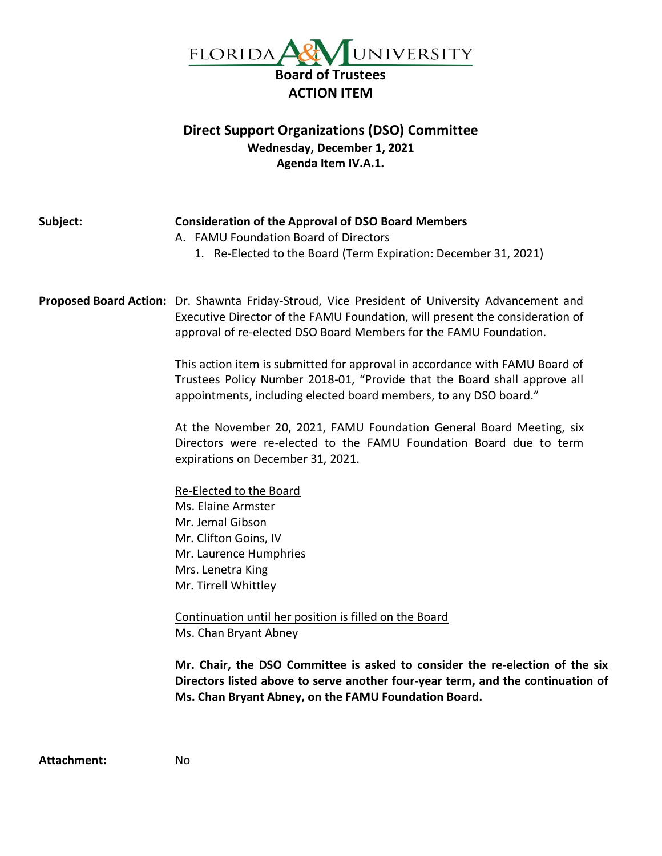

# **Direct Support Organizations (DSO) Committee Wednesday, December 1, 2021 Agenda Item IV.A.1.**

| Subject: | <b>Consideration of the Approval of DSO Board Members</b><br>A. FAMU Foundation Board of Directors<br>1. Re-Elected to the Board (Term Expiration: December 31, 2021)                                                                               |
|----------|-----------------------------------------------------------------------------------------------------------------------------------------------------------------------------------------------------------------------------------------------------|
|          | Proposed Board Action: Dr. Shawnta Friday-Stroud, Vice President of University Advancement and<br>Executive Director of the FAMU Foundation, will present the consideration of<br>approval of re-elected DSO Board Members for the FAMU Foundation. |
|          | This action item is submitted for approval in accordance with FAMU Board of<br>Trustees Policy Number 2018-01, "Provide that the Board shall approve all<br>appointments, including elected board members, to any DSO board."                       |
|          | At the November 20, 2021, FAMU Foundation General Board Meeting, six<br>Directors were re-elected to the FAMU Foundation Board due to term<br>expirations on December 31, 2021.                                                                     |
|          | Re-Elected to the Board                                                                                                                                                                                                                             |
|          | Ms. Elaine Armster                                                                                                                                                                                                                                  |
|          | Mr. Jemal Gibson                                                                                                                                                                                                                                    |
|          | Mr. Clifton Goins, IV                                                                                                                                                                                                                               |
|          | Mr. Laurence Humphries                                                                                                                                                                                                                              |
|          | Mrs. Lenetra King                                                                                                                                                                                                                                   |
|          | Mr. Tirrell Whittley                                                                                                                                                                                                                                |
|          | Continuation until her position is filled on the Board                                                                                                                                                                                              |
|          | Ms. Chan Bryant Abney                                                                                                                                                                                                                               |
|          | Mr. Chair, the DSO Committee is asked to consider the re-election of the six<br>Directors listed above to serve another four-year term, and the continuation of<br>Ms. Chan Bryant Abney, on the FAMU Foundation Board.                             |

**Attachment:** No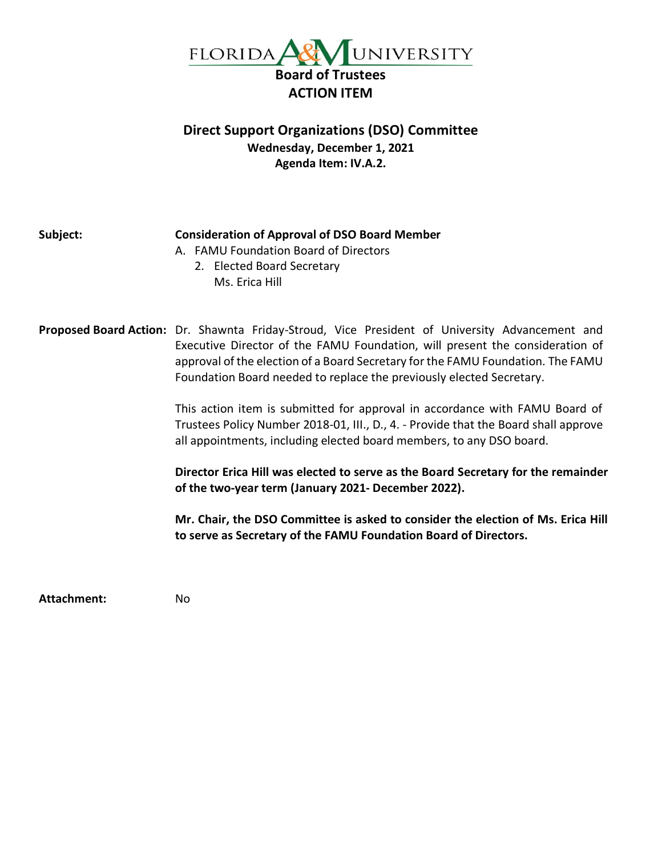

# **Direct Support Organizations (DSO) Committee Wednesday, December 1, 2021 Agenda Item: IV.A.2.**

| Subject: | <b>Consideration of Approval of DSO Board Member</b><br>A. FAMU Foundation Board of Directors<br>2. Elected Board Secretary<br>Ms. Erica Hill                                                                                                                                                                                                                                                                                                                                                                                                                                                                                                                                                                                                                                                                                                                                               |
|----------|---------------------------------------------------------------------------------------------------------------------------------------------------------------------------------------------------------------------------------------------------------------------------------------------------------------------------------------------------------------------------------------------------------------------------------------------------------------------------------------------------------------------------------------------------------------------------------------------------------------------------------------------------------------------------------------------------------------------------------------------------------------------------------------------------------------------------------------------------------------------------------------------|
|          | Proposed Board Action: Dr. Shawnta Friday-Stroud, Vice President of University Advancement and<br>Executive Director of the FAMU Foundation, will present the consideration of<br>approval of the election of a Board Secretary for the FAMU Foundation. The FAMU<br>Foundation Board needed to replace the previously elected Secretary.<br>This action item is submitted for approval in accordance with FAMU Board of<br>Trustees Policy Number 2018-01, III., D., 4. - Provide that the Board shall approve<br>all appointments, including elected board members, to any DSO board.<br>Director Erica Hill was elected to serve as the Board Secretary for the remainder<br>of the two-year term (January 2021- December 2022).<br>Mr. Chair, the DSO Committee is asked to consider the election of Ms. Erica Hill<br>to serve as Secretary of the FAMU Foundation Board of Directors. |

**Attachment:** No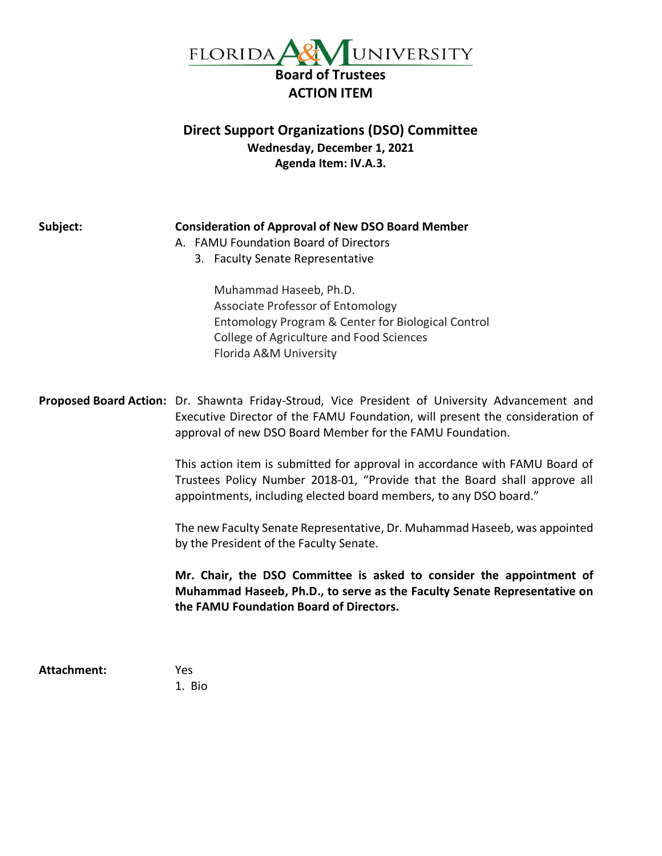

# **Direct Support Organizations (DSO) Committee Wednesday, December 1, 2021 Agenda Item: IV.A.3.**

| Subject:    | <b>Consideration of Approval of New DSO Board Member</b><br>A. FAMU Foundation Board of Directors<br>3. Faculty Senate Representative<br>Muhammad Haseeb, Ph.D.<br>Associate Professor of Entomology<br>Entomology Program & Center for Biological Control<br>College of Agriculture and Food Sciences<br>Florida A&M University                                                                                                                                             |
|-------------|------------------------------------------------------------------------------------------------------------------------------------------------------------------------------------------------------------------------------------------------------------------------------------------------------------------------------------------------------------------------------------------------------------------------------------------------------------------------------|
|             | Proposed Board Action: Dr. Shawnta Friday-Stroud, Vice President of University Advancement and<br>Executive Director of the FAMU Foundation, will present the consideration of<br>approval of new DSO Board Member for the FAMU Foundation.<br>This action item is submitted for approval in accordance with FAMU Board of<br>Trustees Policy Number 2018-01, "Provide that the Board shall approve all<br>appointments, including elected board members, to any DSO board." |
|             | The new Faculty Senate Representative, Dr. Muhammad Haseeb, was appointed<br>by the President of the Faculty Senate.                                                                                                                                                                                                                                                                                                                                                         |
|             | Mr. Chair, the DSO Committee is asked to consider the appointment of<br>Muhammad Haseeb, Ph.D., to serve as the Faculty Senate Representative on<br>the FAMU Foundation Board of Directors.                                                                                                                                                                                                                                                                                  |
| Attachment: | Yes                                                                                                                                                                                                                                                                                                                                                                                                                                                                          |

1. Bio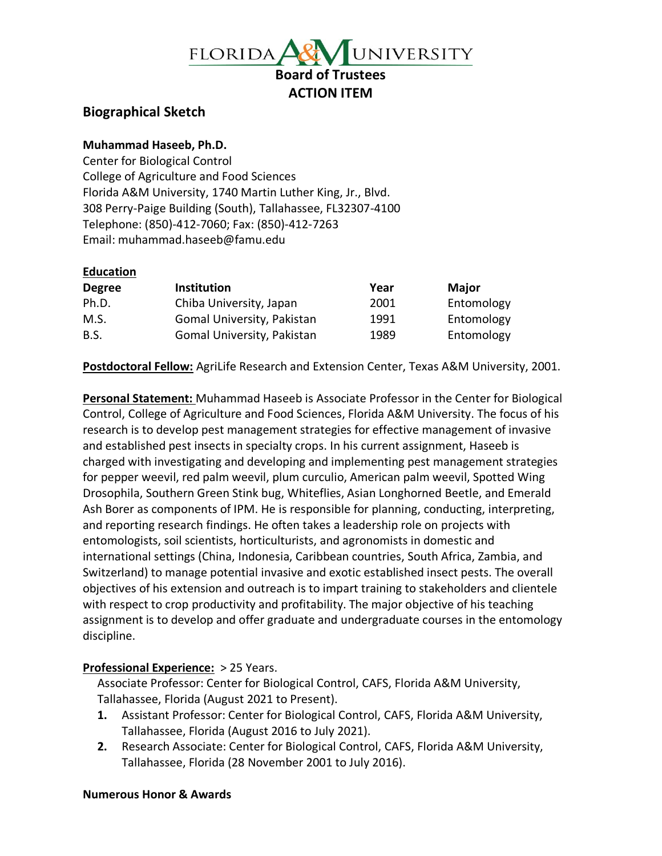

## **Biographical Sketch**

#### **Muhammad Haseeb, Ph.D.**

Center for Biological Control College of Agriculture and Food Sciences Florida A&M University, 1740 Martin Luther King, Jr., Blvd. 308 Perry-Paige Building (South), Tallahassee, FL32307-4100 Telephone: (850)-412-7060; Fax: (850)-412-7263 Email: muhammad.haseeb@famu.edu

#### **Education**

| <b>Degree</b> | <b>Institution</b>         | Year | <b>Major</b> |
|---------------|----------------------------|------|--------------|
| Ph.D.         | Chiba University, Japan    | 2001 | Entomology   |
| M.S.          | Gomal University, Pakistan | 1991 | Entomology   |
| B.S.          | Gomal University, Pakistan | 1989 | Entomology   |

**Postdoctoral Fellow:** AgriLife Research and Extension Center, Texas A&M University, 2001.

**Personal Statement:** Muhammad Haseeb is Associate Professor in the Center for Biological Control, College of Agriculture and Food Sciences, Florida A&M University. The focus of his research is to develop pest management strategies for effective management of invasive and established pest insects in specialty crops. In his current assignment, Haseeb is charged with investigating and developing and implementing pest management strategies for pepper weevil, red palm weevil, plum curculio, American palm weevil, Spotted Wing Drosophila, Southern Green Stink bug, Whiteflies, Asian Longhorned Beetle, and Emerald Ash Borer as components of IPM. He is responsible for planning, conducting, interpreting, and reporting research findings. He often takes a leadership role on projects with entomologists, soil scientists, horticulturists, and agronomists in domestic and international settings (China, Indonesia, Caribbean countries, South Africa, Zambia, and Switzerland) to manage potential invasive and exotic established insect pests. The overall objectives of his extension and outreach is to impart training to stakeholders and clientele with respect to crop productivity and profitability. The major objective of his teaching assignment is to develop and offer graduate and undergraduate courses in the entomology discipline.

### **Professional Experience:** > 25 Years.

Associate Professor: Center for Biological Control, CAFS, Florida A&M University, Tallahassee, Florida (August 2021 to Present).

- **1.** Assistant Professor: Center for Biological Control, CAFS, Florida A&M University, Tallahassee, Florida (August 2016 to July 2021).
- **2.** Research Associate: Center for Biological Control, CAFS, Florida A&M University, Tallahassee, Florida (28 November 2001 to July 2016).

#### **Numerous Honor & Awards**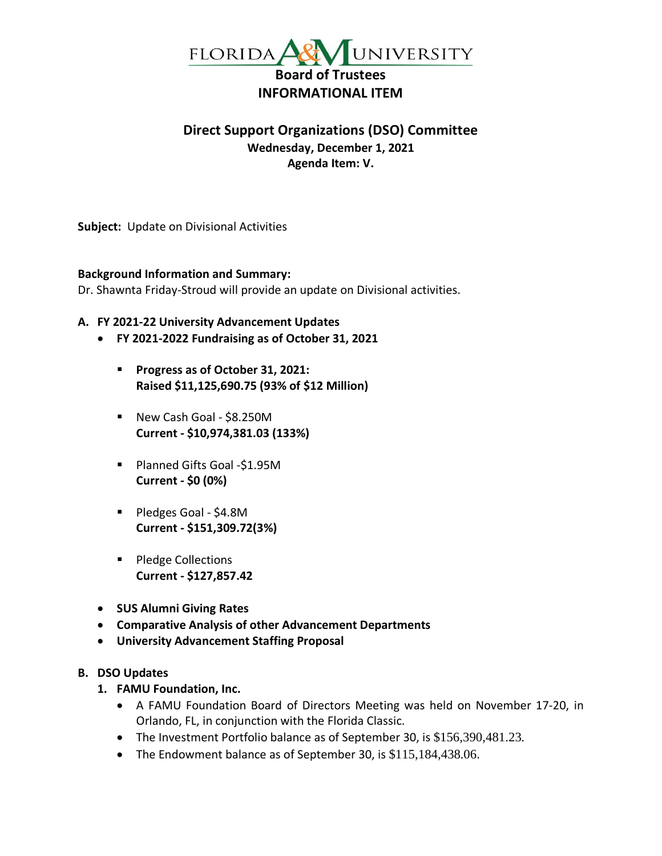

# **Direct Support Organizations (DSO) Committee Wednesday, December 1, 2021 Agenda Item: V.**

**Subject:** Update on Divisional Activities

#### **Background Information and Summary:**

Dr. Shawnta Friday-Stroud will provide an update on Divisional activities.

#### **A. FY 2021-22 University Advancement Updates**

- **FY 2021-2022 Fundraising as of October 31, 2021**
	- **Progress as of October 31, 2021: Raised \$11,125,690.75 (93% of \$12 Million)**
	- New Cash Goal \$8.250M **Current - \$10,974,381.03 (133%)**
	- Planned Gifts Goal -\$1.95M **Current - \$0 (0%)**
	- Pledges Goal \$4.8M **Current - \$151,309.72(3%)**
	- Pledge Collections **Current - \$127,857.42**
- **SUS Alumni Giving Rates**
- **Comparative Analysis of other Advancement Departments**
- **University Advancement Staffing Proposal**

#### **B. DSO Updates**

- **1. FAMU Foundation, Inc.**
	- A FAMU Foundation Board of Directors Meeting was held on November 17-20, in Orlando, FL, in conjunction with the Florida Classic.
	- The Investment Portfolio balance as of September 30, is \$156,390,481.23.
	- The Endowment balance as of September 30, is \$115,184,438.06.